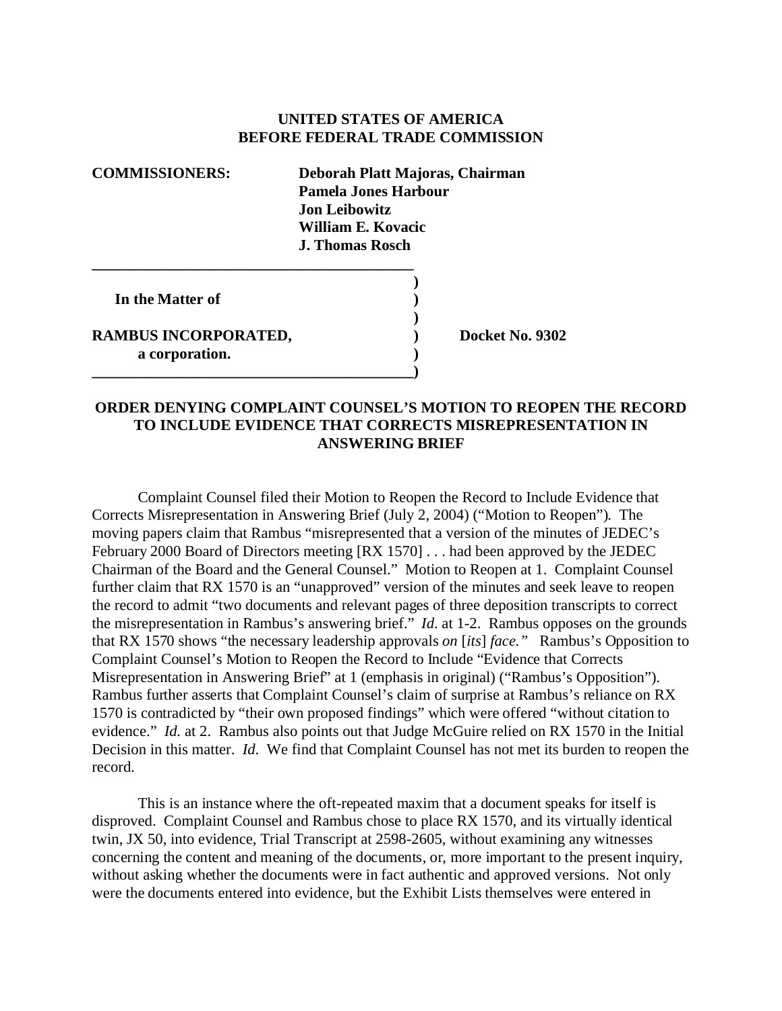## **UNITED STATES OF AMERICA BEFORE FEDERAL TRADE COMMISSION**

| <b>COMMISSIONERS:</b>                  | Deborah Platt Majoras, Chairman<br>Pamela Jones Harbour<br>Jon Leibowitz |
|----------------------------------------|--------------------------------------------------------------------------|
|                                        | William E. Kovacic<br>J. Thomas Rosch                                    |
| In the Matter of                       |                                                                          |
| RAMBUS INCORPORATED,<br>a corporation. | Docket No                                                                |
|                                        |                                                                          |

**No. 9302** 

## **ORDER DENYING COMPLAINT COUNSEL'S MOTION TO REOPEN THE RECORD TO INCLUDE EVIDENCE THAT CORRECTS MISREPRESENTATION IN ANSWERING BRIEF**

Complaint Counsel filed their Motion to Reopen the Record to Include Evidence that Corrects Misrepresentation in Answering Brief (July 2, 2004) ("Motion to Reopen"). The moving papers claim that Rambus "misrepresented that a version of the minutes of JEDEC's February 2000 Board of Directors meeting [RX 1570] . . . had been approved by the JEDEC Chairman of the Board and the General Counsel." Motion to Reopen at 1. Complaint Counsel further claim that RX 1570 is an "unapproved" version of the minutes and seek leave to reopen the record to admit "two documents and relevant pages of three deposition transcripts to correct the misrepresentation in Rambus's answering brief." *Id*. at 1-2. Rambus opposes on the grounds that RX 1570 shows "the necessary leadership approvals *on* [*its*] *face."* Rambus's Opposition to Complaint Counsel's Motion to Reopen the Record to Include "Evidence that Corrects Misrepresentation in Answering Brief" at 1 (emphasis in original) ("Rambus's Opposition"). Rambus further asserts that Complaint Counsel's claim of surprise at Rambus's reliance on RX 1570 is contradicted by "their own proposed findings" which were offered "without citation to evidence." *Id.* at 2. Rambus also points out that Judge McGuire relied on RX 1570 in the Initial Decision in this matter. *Id*. We find that Complaint Counsel has not met its burden to reopen the record.

This is an instance where the oft-repeated maxim that a document speaks for itself is disproved. Complaint Counsel and Rambus chose to place RX 1570, and its virtually identical twin, JX 50, into evidence, Trial Transcript at 2598-2605, without examining any witnesses concerning the content and meaning of the documents, or, more important to the present inquiry, without asking whether the documents were in fact authentic and approved versions. Not only were the documents entered into evidence, but the Exhibit Lists themselves were entered in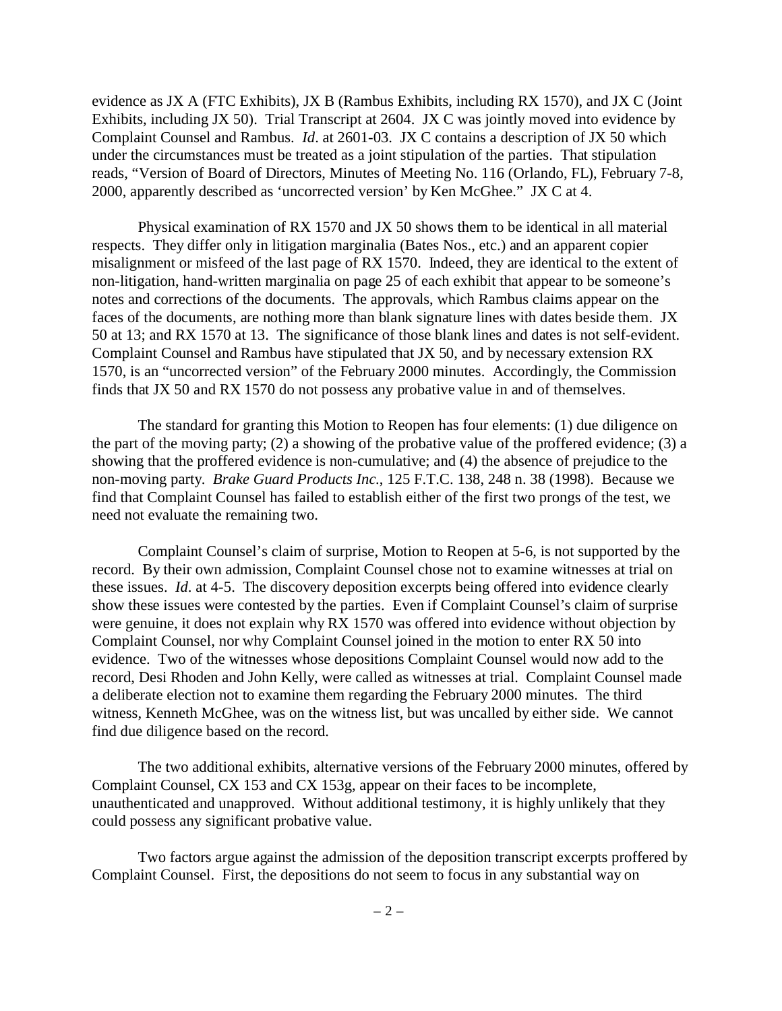evidence as JX A (FTC Exhibits), JX B (Rambus Exhibits, including RX 1570), and JX C (Joint Exhibits, including JX 50). Trial Transcript at 2604. JX C was jointly moved into evidence by Complaint Counsel and Rambus. *Id*. at 2601-03. JX C contains a description of JX 50 which under the circumstances must be treated as a joint stipulation of the parties. That stipulation reads, "Version of Board of Directors, Minutes of Meeting No. 116 (Orlando, FL), February 7-8, 2000, apparently described as 'uncorrected version' by Ken McGhee." JX C at 4.

Physical examination of RX 1570 and JX 50 shows them to be identical in all material respects. They differ only in litigation marginalia (Bates Nos., etc.) and an apparent copier misalignment or misfeed of the last page of RX 1570. Indeed, they are identical to the extent of non-litigation, hand-written marginalia on page 25 of each exhibit that appear to be someone's notes and corrections of the documents. The approvals, which Rambus claims appear on the faces of the documents, are nothing more than blank signature lines with dates beside them. JX 50 at 13; and RX 1570 at 13. The significance of those blank lines and dates is not self-evident. Complaint Counsel and Rambus have stipulated that JX 50, and by necessary extension RX 1570, is an "uncorrected version" of the February 2000 minutes. Accordingly, the Commission finds that JX 50 and RX 1570 do not possess any probative value in and of themselves.

The standard for granting this Motion to Reopen has four elements: (1) due diligence on the part of the moving party; (2) a showing of the probative value of the proffered evidence; (3) a showing that the proffered evidence is non-cumulative; and (4) the absence of prejudice to the non-moving party. *Brake Guard Products Inc.*, 125 F.T.C. 138, 248 n. 38 (1998). Because we find that Complaint Counsel has failed to establish either of the first two prongs of the test, we need not evaluate the remaining two.

Complaint Counsel's claim of surprise, Motion to Reopen at 5-6, is not supported by the record. By their own admission, Complaint Counsel chose not to examine witnesses at trial on these issues. *Id*. at 4-5. The discovery deposition excerpts being offered into evidence clearly show these issues were contested by the parties. Even if Complaint Counsel's claim of surprise were genuine, it does not explain why RX 1570 was offered into evidence without objection by Complaint Counsel, nor why Complaint Counsel joined in the motion to enter RX 50 into evidence. Two of the witnesses whose depositions Complaint Counsel would now add to the record, Desi Rhoden and John Kelly, were called as witnesses at trial. Complaint Counsel made a deliberate election not to examine them regarding the February 2000 minutes. The third witness, Kenneth McGhee, was on the witness list, but was uncalled by either side. We cannot find due diligence based on the record.

The two additional exhibits, alternative versions of the February 2000 minutes, offered by Complaint Counsel, CX 153 and CX 153g, appear on their faces to be incomplete, unauthenticated and unapproved. Without additional testimony, it is highly unlikely that they could possess any significant probative value.

Two factors argue against the admission of the deposition transcript excerpts proffered by Complaint Counsel. First, the depositions do not seem to focus in any substantial way on